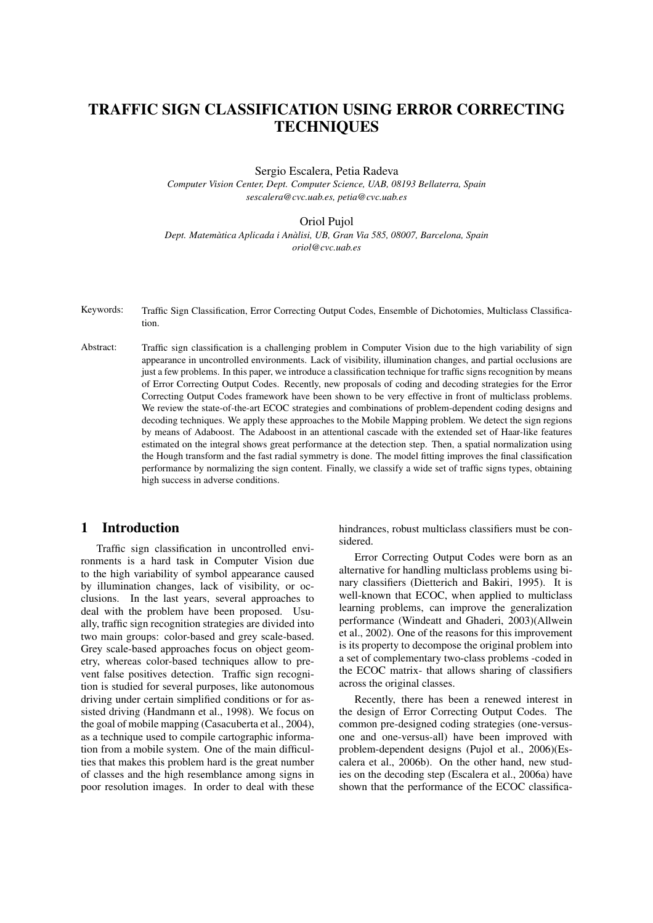# TRAFFIC SIGN CLASSIFICATION USING ERROR CORRECTING **TECHNIQUES**

Sergio Escalera, Petia Radeva

*Computer Vision Center, Dept. Computer Science, UAB, 08193 Bellaterra, Spain sescalera@cvc.uab.es, petia@cvc.uab.es*

#### Oriol Pujol

*Dept. Matematica Aplicada i An ` alisi, UB, Gran Via 585, 08007, Barcelona, Spain ` oriol@cvc.uab.es*

Keywords: Traffic Sign Classification, Error Correcting Output Codes, Ensemble of Dichotomies, Multiclass Classification.

Abstract: Traffic sign classification is a challenging problem in Computer Vision due to the high variability of sign appearance in uncontrolled environments. Lack of visibility, illumination changes, and partial occlusions are just a few problems. In this paper, we introduce a classification technique for traffic signs recognition by means of Error Correcting Output Codes. Recently, new proposals of coding and decoding strategies for the Error Correcting Output Codes framework have been shown to be very effective in front of multiclass problems. We review the state-of-the-art ECOC strategies and combinations of problem-dependent coding designs and decoding techniques. We apply these approaches to the Mobile Mapping problem. We detect the sign regions by means of Adaboost. The Adaboost in an attentional cascade with the extended set of Haar-like features estimated on the integral shows great performance at the detection step. Then, a spatial normalization using the Hough transform and the fast radial symmetry is done. The model fitting improves the final classification performance by normalizing the sign content. Finally, we classify a wide set of traffic signs types, obtaining high success in adverse conditions.

## 1 Introduction

Traffic sign classification in uncontrolled environments is a hard task in Computer Vision due to the high variability of symbol appearance caused by illumination changes, lack of visibility, or occlusions. In the last years, several approaches to deal with the problem have been proposed. Usually, traffic sign recognition strategies are divided into two main groups: color-based and grey scale-based. Grey scale-based approaches focus on object geometry, whereas color-based techniques allow to prevent false positives detection. Traffic sign recognition is studied for several purposes, like autonomous driving under certain simplified conditions or for assisted driving (Handmann et al., 1998). We focus on the goal of mobile mapping (Casacuberta et al., 2004), as a technique used to compile cartographic information from a mobile system. One of the main difficulties that makes this problem hard is the great number of classes and the high resemblance among signs in poor resolution images. In order to deal with these hindrances, robust multiclass classifiers must be considered.

Error Correcting Output Codes were born as an alternative for handling multiclass problems using binary classifiers (Dietterich and Bakiri, 1995). It is well-known that ECOC, when applied to multiclass learning problems, can improve the generalization performance (Windeatt and Ghaderi, 2003)(Allwein et al., 2002). One of the reasons for this improvement is its property to decompose the original problem into a set of complementary two-class problems -coded in the ECOC matrix- that allows sharing of classifiers across the original classes.

Recently, there has been a renewed interest in the design of Error Correcting Output Codes. The common pre-designed coding strategies (one-versusone and one-versus-all) have been improved with problem-dependent designs (Pujol et al., 2006)(Escalera et al., 2006b). On the other hand, new studies on the decoding step (Escalera et al., 2006a) have shown that the performance of the ECOC classifica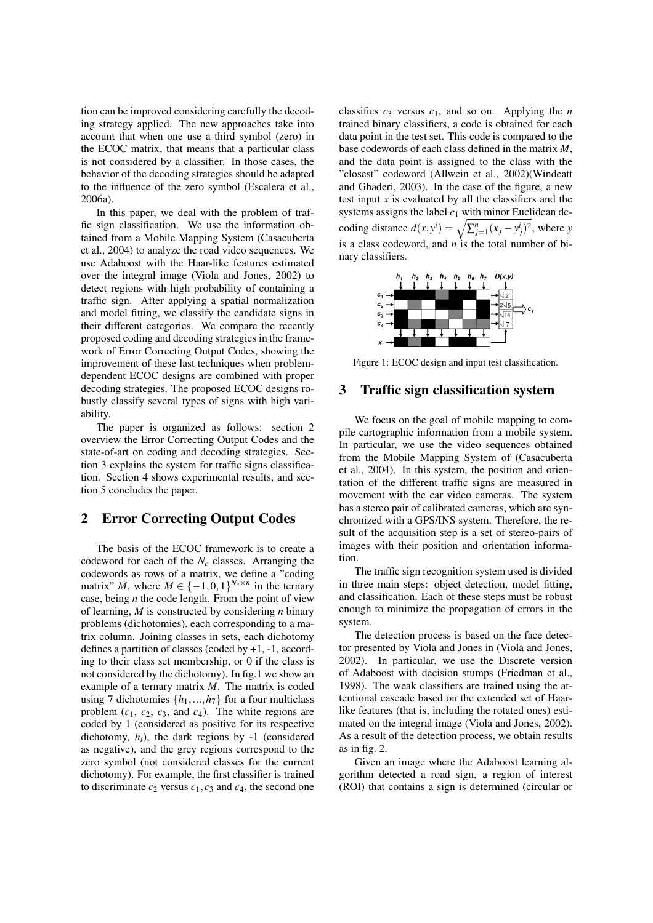tion can be improved considering carefully the decoding strategy applied. The new approaches take into account that when one use a third symbol (zero) in the ECOC matrix, that means that a particular class is not considered by a classifier. In those cases, the behavior of the decoding strategies should be adapted to the influence of the zero symbol (Escalera et al., 2006a).

In this paper, we deal with the problem of traffic sign classification. We use the information obtained from a Mobile Mapping System (Casacuberta et al., 2004) to analyze the road video sequences. We use Adaboost with the Haar-like features estimated over the integral image (Viola and Jones, 2002) to detect regions with high probability of containing a traffic sign. After applying a spatial normalization and model fitting, we classify the candidate signs in their different categories. We compare the recently proposed coding and decoding strategies in the framework of Error Correcting Output Codes, showing the improvement of these last techniques when problemdependent ECOC designs are combined with proper decoding strategies. The proposed ECOC designs robustly classify several types of signs with high variability.

The paper is organized as follows: section 2 overview the Error Correcting Output Codes and the state-of-art on coding and decoding strategies. Section 3 explains the system for traffic signs classification. Section 4 shows experimental results, and section 5 concludes the paper.

## 2 Error Correcting Output Codes

The basis of the ECOC framework is to create a codeword for each of the *N<sup>c</sup>* classes. Arranging the codewords as rows of a matrix, we define a "coding matrix" *M*, where  $M \in \{-1,0,1\}^{N_c \times n}$  in the ternary case, being *n* the code length. From the point of view of learning, *M* is constructed by considering *n* binary problems (dichotomies), each corresponding to a matrix column. Joining classes in sets, each dichotomy defines a partition of classes (coded by  $+1$ ,  $-1$ , according to their class set membership, or 0 if the class is not considered by the dichotomy). In fig.1 we show an example of a ternary matrix *M*. The matrix is coded using 7 dichotomies  $\{h_1, ..., h_7\}$  for a four multiclass problem  $(c_1, c_2, c_3,$  and  $c_4$ ). The white regions are coded by 1 (considered as positive for its respective dichotomy,  $h_i$ ), the dark regions by -1 (considered as negative), and the grey regions correspond to the zero symbol (not considered classes for the current dichotomy). For example, the first classifier is trained to discriminate  $c_2$  versus  $c_1$ ,  $c_3$  and  $c_4$ , the second one classifies  $c_3$  versus  $c_1$ , and so on. Applying the *n* trained binary classifiers, a code is obtained for each data point in the test set. This code is compared to the base codewords of each class defined in the matrix *M*, and the data point is assigned to the class with the "closest" codeword (Allwein et al., 2002)(Windeatt and Ghaderi, 2003). In the case of the figure, a new test input *x* is evaluated by all the classifiers and the systems assigns the label  $c_1$  with minor Euclidean desystems assigns the label  $c_1$  with minor Euclidean decoding distance  $d(x, y^i) = \sqrt{\sum_{j=1}^n (x_j - y_j^i)^2}$ , where *y* is a class codeword, and *n* is the total number of binary classifiers.



Figure 1: ECOC design and input test classification.

#### 3 Traffic sign classification system

We focus on the goal of mobile mapping to compile cartographic information from a mobile system. In particular, we use the video sequences obtained from the Mobile Mapping System of (Casacuberta et al., 2004). In this system, the position and orientation of the different traffic signs are measured in movement with the car video cameras. The system has a stereo pair of calibrated cameras, which are synchronized with a GPS/INS system. Therefore, the result of the acquisition step is a set of stereo-pairs of images with their position and orientation information.

The traffic sign recognition system used is divided in three main steps: object detection, model fitting, and classification. Each of these steps must be robust enough to minimize the propagation of errors in the system.

The detection process is based on the face detector presented by Viola and Jones in (Viola and Jones, 2002). In particular, we use the Discrete version of Adaboost with decision stumps (Friedman et al., 1998). The weak classifiers are trained using the attentional cascade based on the extended set of Haarlike features (that is, including the rotated ones) estimated on the integral image (Viola and Jones, 2002). As a result of the detection process, we obtain results as in fig. 2.

Given an image where the Adaboost learning algorithm detected a road sign, a region of interest (ROI) that contains a sign is determined (circular or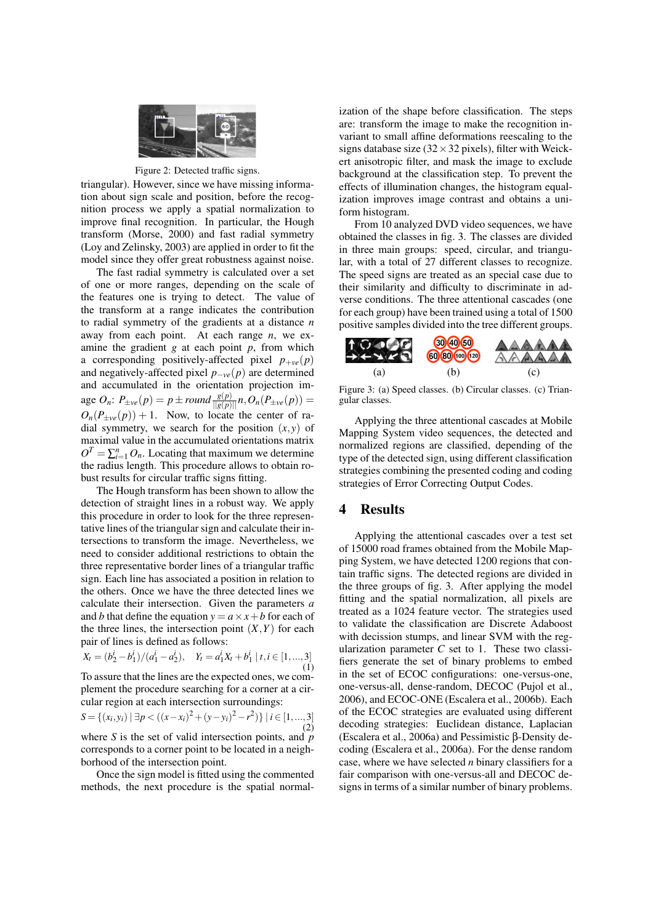

Figure 2: Detected traffic signs.

triangular). However, since we have missing information about sign scale and position, before the recognition process we apply a spatial normalization to improve final recognition. In particular, the Hough transform (Morse, 2000) and fast radial symmetry (Loy and Zelinsky, 2003) are applied in order to fit the model since they offer great robustness against noise.

The fast radial symmetry is calculated over a set of one or more ranges, depending on the scale of the features one is trying to detect. The value of the transform at a range indicates the contribution to radial symmetry of the gradients at a distance *n* away from each point. At each range *n*, we examine the gradient *g* at each point *p*, from which a corresponding positively-affected pixel  $p_{+ve}(p)$ and negatively-affected pixel *p*−*ve*(*p*) are determined and accumulated in the orientation projection im- $\text{age } O_n: P_{\pm \nu e}(p) = p \pm \text{round} \frac{g(p)}{||g(p)||} n, O_n(P_{\pm \nu e}(p)) =$  $O_n(P_{\pm \nu e}(p)) + 1$ . Now, to locate the center of radial symmetry, we search for the position  $(x, y)$  of maximal value in the accumulated orientations matrix  $O^T = \sum_{i=1}^n O_n$ . Locating that maximum we determine the radius length. This procedure allows to obtain robust results for circular traffic signs fitting.

The Hough transform has been shown to allow the detection of straight lines in a robust way. We apply this procedure in order to look for the three representative lines of the triangular sign and calculate their intersections to transform the image. Nevertheless, we need to consider additional restrictions to obtain the three representative border lines of a triangular traffic sign. Each line has associated a position in relation to the others. Once we have the three detected lines we calculate their intersection. Given the parameters *a* and *b* that define the equation  $y = a \times x + b$  for each of the three lines, the intersection point  $(X, Y)$  for each pair of lines is defined as follows:

 $X_t = (b_2^i - b_1^i)/(a_1^i - a_2^i), \quad Y_t = a_1^i X_t + b_1^i \mid t, i \in [1, ..., 3]$ (1)

To assure that the lines are the expected ones, we complement the procedure searching for a corner at a circular region at each intersection surroundings:

*S* = {(*x*<sub>*i*</sub>, *y*<sub>*i*</sub>)</sub> | ∃*p* < ((*x*−*x*<sub>*i*</sub>)<sup>2</sup> + (*y*−*y*<sub>*i*</sub>)<sup>2</sup> − *r*<sup>2</sup>)} | *i* ∈ [1, ...,3] (2) where *S* is the set of valid intersection points, and *p* corresponds to a corner point to be located in a neigh-

borhood of the intersection point. Once the sign model is fitted using the commented methods, the next procedure is the spatial normalization of the shape before classification. The steps are: transform the image to make the recognition invariant to small affine deformations reescaling to the signs database size  $(32 \times 32 \text{ pixels})$ , filter with Weickert anisotropic filter, and mask the image to exclude background at the classification step. To prevent the effects of illumination changes, the histogram equalization improves image contrast and obtains a uniform histogram.

From 10 analyzed DVD video sequences, we have obtained the classes in fig. 3. The classes are divided in three main groups: speed, circular, and triangular, with a total of 27 different classes to recognize. The speed signs are treated as an special case due to their similarity and difficulty to discriminate in adverse conditions. The three attentional cascades (one for each group) have been trained using a total of 1500 positive samples divided into the tree different groups.



Figure 3: (a) Speed classes. (b) Circular classes. (c) Triangular classes.

Applying the three attentional cascades at Mobile Mapping System video sequences, the detected and normalized regions are classified, depending of the type of the detected sign, using different classification strategies combining the presented coding and coding strategies of Error Correcting Output Codes.

## 4 Results

Applying the attentional cascades over a test set of 15000 road frames obtained from the Mobile Mapping System, we have detected 1200 regions that contain traffic signs. The detected regions are divided in the three groups of fig. 3. After applying the model fitting and the spatial normalization, all pixels are treated as a 1024 feature vector. The strategies used to validate the classification are Discrete Adaboost with decission stumps, and linear SVM with the regularization parameter *C* set to 1. These two classifiers generate the set of binary problems to embed in the set of ECOC configurations: one-versus-one, one-versus-all, dense-random, DECOC (Pujol et al., 2006), and ECOC-ONE (Escalera et al., 2006b). Each of the ECOC strategies are evaluated using different decoding strategies: Euclidean distance, Laplacian (Escalera et al., 2006a) and Pessimistic β-Density decoding (Escalera et al., 2006a). For the dense random case, where we have selected *n* binary classifiers for a fair comparison with one-versus-all and DECOC designs in terms of a similar number of binary problems.